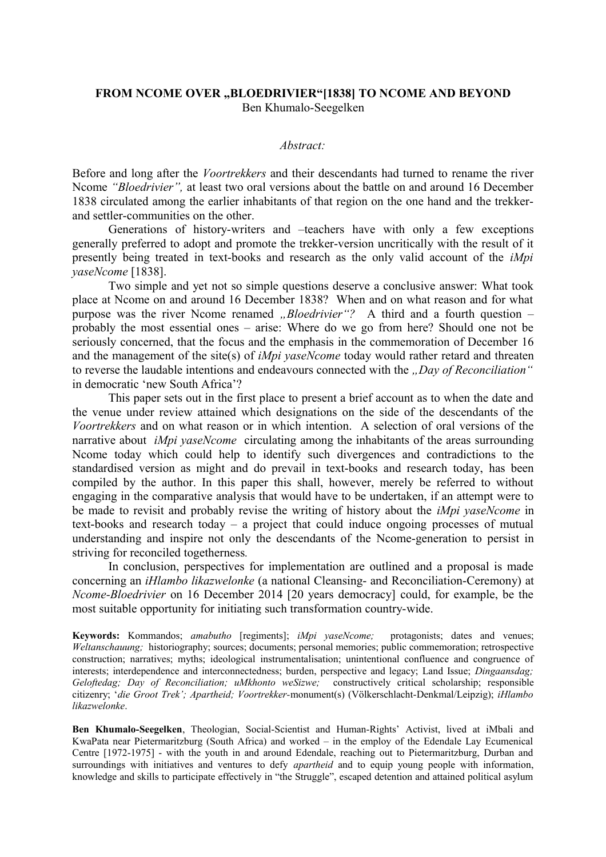### FROM NCOME OVER "BLOEDRIVIER"[1838] TO NCOME AND BEYOND Ben Khumalo-Seegelken

#### *Abstract:*

Before and long after the *Voortrekkers* and their descendants had turned to rename the river Ncome *"Bloedrivier",* at least two oral versions about the battle on and around 16 December 1838 circulated among the earlier inhabitants of that region on the one hand and the trekkerand settler-communities on the other.

 Generations of history-writers and –teachers have with only a few exceptions generally preferred to adopt and promote the trekker-version uncritically with the result of it presently being treated in text-books and research as the only valid account of the *iMpi yaseNcome* [1838].

Two simple and yet not so simple questions deserve a conclusive answer: What took place at Ncome on and around 16 December 1838? When and on what reason and for what purpose was the river Ncome renamed *"Bloedrivier*"? A third and a fourth question – probably the most essential ones – arise: Where do we go from here? Should one not be seriously concerned, that the focus and the emphasis in the commemoration of December 16 and the management of the site(s) of *iMpi yaseNcome* today would rather retard and threaten to reverse the laudable intentions and endeavours connected with the "Day of Reconciliation" in democratic 'new South Africa'?

This paper sets out in the first place to present a brief account as to when the date and the venue under review attained which designations on the side of the descendants of the *Voortrekkers* and on what reason or in which intention. A selection of oral versions of the narrative about *iMpi yaseNcome* circulating among the inhabitants of the areas surrounding Ncome today which could help to identify such divergences and contradictions to the standardised version as might and do prevail in text-books and research today, has been compiled by the author. In this paper this shall, however, merely be referred to without engaging in the comparative analysis that would have to be undertaken, if an attempt were to be made to revisit and probably revise the writing of history about the *iMpi yaseNcome* in text-books and research today – a project that could induce ongoing processes of mutual understanding and inspire not only the descendants of the Ncome-generation to persist in striving for reconciled togetherness*.*

In conclusion, perspectives for implementation are outlined and a proposal is made concerning an *iHlambo likazwelonke* (a national Cleansing- and Reconciliation-Ceremony) at *Ncome-Bloedrivier* on 16 December 2014 [20 years democracy] could, for example, be the most suitable opportunity for initiating such transformation country-wide.

**Keywords:** Kommandos; *amabutho* [regiments]; *iMpi yaseNcome;* protagonists; dates and venues; *Weltanschauung;* historiography; sources; documents; personal memories; public commemoration; retrospective construction; narratives; myths; ideological instrumentalisation; unintentional confluence and congruence of interests; interdependence and interconnectedness; burden, perspective and legacy; Land Issue; *Dingaansdag; Geloftedag; Day of Reconciliation; uMkhonto weSizwe;* constructively critical scholarship; responsible citizenry; '*die Groot Trek'; Apartheid; Voortrekker-*monument(s) (Völkerschlacht-Denkmal/Leipzig); *iHlambo likazwelonke*.

**Ben Khumalo-Seegelken**, Theologian, Social-Scientist and Human-Rights' Activist, lived at iMbali and KwaPata near Pietermaritzburg (South Africa) and worked – in the employ of the Edendale Lay Ecumenical Centre [1972-1975] - with the youth in and around Edendale, reaching out to Pietermaritzburg, Durban and surroundings with initiatives and ventures to defy *apartheid* and to equip young people with information, knowledge and skills to participate effectively in "the Struggle", escaped detention and attained political asylum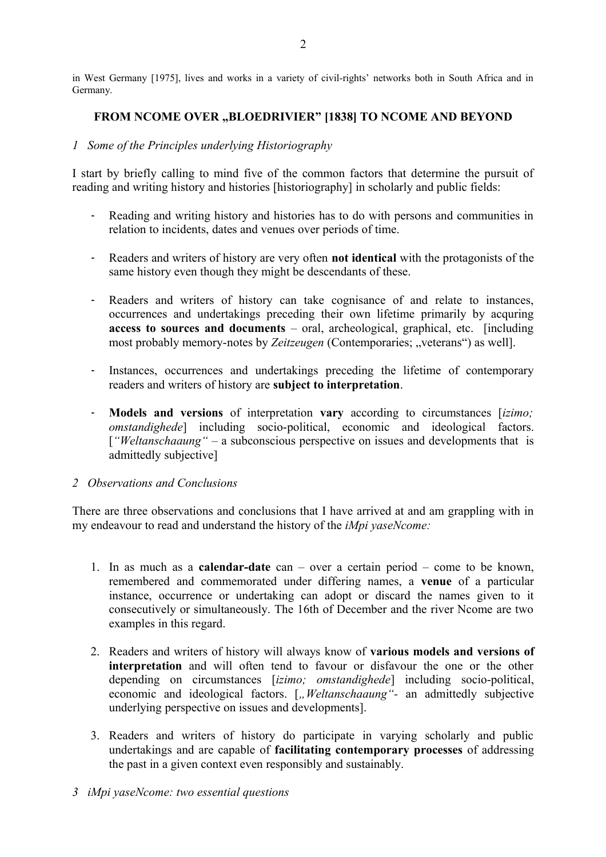in West Germany [1975], lives and works in a variety of civil-rights' networks both in South Africa and in Germany.

# FROM NCOME OVER "BLOEDRIVIER" [1838] TO NCOME AND BEYOND

### *1 Some of the Principles underlying Historiography*

I start by briefly calling to mind five of the common factors that determine the pursuit of reading and writing history and histories [historiography] in scholarly and public fields:

- Reading and writing history and histories has to do with persons and communities in relation to incidents, dates and venues over periods of time.
- Readers and writers of history are very often **not identical** with the protagonists of the same history even though they might be descendants of these.
- Readers and writers of history can take cognisance of and relate to instances, occurrences and undertakings preceding their own lifetime primarily by acquring **access to sources and documents** – oral, archeological, graphical, etc. [including most probably memory-notes by *Zeitzeugen* (Contemporaries; "veterans") as well].
- Instances, occurrences and undertakings preceding the lifetime of contemporary readers and writers of history are **subject to interpretation**.
- **Models and versions** of interpretation **vary** according to circumstances [*izimo; omstandighede*] including socio-political, economic and ideological factors. [*"Weltanschaaung" –* a subconscious perspective on issues and developments that is admittedly subjective]

### *2 Observations and Conclusions*

There are three observations and conclusions that I have arrived at and am grappling with in my endeavour to read and understand the history of the *iMpi yaseNcome:*

- 1. In as much as a **calendar-date** can over a certain period come to be known, remembered and commemorated under differing names, a **venue** of a particular instance, occurrence or undertaking can adopt or discard the names given to it consecutively or simultaneously. The 16th of December and the river Ncome are two examples in this regard.
- 2. Readers and writers of history will always know of **various models and versions of interpretation** and will often tend to favour or disfavour the one or the other depending on circumstances [*izimo; omstandighede*] including socio-political, economic and ideological factors. [*"Weltanschaaung"*- an admittedly subjective underlying perspective on issues and developments].
- 3. Readers and writers of history do participate in varying scholarly and public undertakings and are capable of **facilitating contemporary processes** of addressing the past in a given context even responsibly and sustainably.
- *3 iMpi yaseNcome: two essential questions*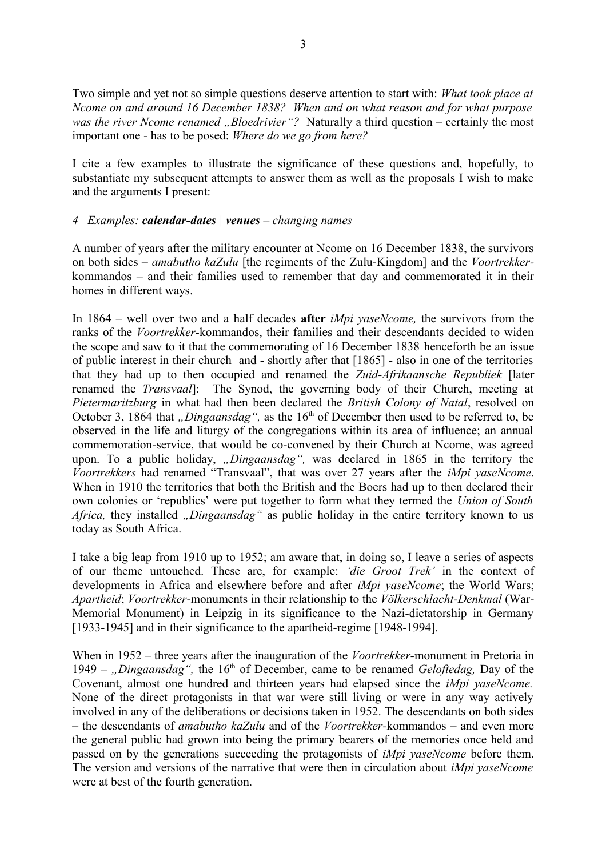Two simple and yet not so simple questions deserve attention to start with: *What took place at Ncome on and around 16 December 1838? When and on what reason and for what purpose was the river Ncome renamed "Bloedrivier"?* Naturally a third question – certainly the most important one - has to be posed: *Where do we go from here?* 

I cite a few examples to illustrate the significance of these questions and, hopefully, to substantiate my subsequent attempts to answer them as well as the proposals I wish to make and the arguments I present:

## *4 Examples: calendar-dates | venues – changing names*

A number of years after the military encounter at Ncome on 16 December 1838, the survivors on both sides – *amabutho kaZulu* [the regiments of the Zulu-Kingdom] and the *Voortrekker*kommandos *–* and their families used to remember that day and commemorated it in their homes in different ways.

In 1864 – well over two and a half decades **after** *iMpi yaseNcome,* the survivors from the ranks of the *Voortrekker-*kommandos, their families and their descendants decided to widen the scope and saw to it that the commemorating of 16 December 1838 henceforth be an issue of public interest in their church and - shortly after that [1865] - also in one of the territories that they had up to then occupied and renamed the *Zuid-Afrikaansche Republiek* [later renamed the *Transvaal*]: The Synod, the governing body of their Church, meeting at *Pietermaritzburg* in what had then been declared the *British Colony of Natal*, resolved on October 3, 1864 that *"Dingaansdag*", as the 16<sup>th</sup> of December then used to be referred to, be observed in the life and liturgy of the congregations within its area of influence; an annual commemoration-service, that would be co-convened by their Church at Ncome, was agreed upon. To a public holiday, *"Dingaansdag*", was declared in 1865 in the territory the *Voortrekkers* had renamed "Transvaal", that was over 27 years after the *iMpi yaseNcome*. When in 1910 the territories that both the British and the Boers had up to then declared their own colonies or 'republics' were put together to form what they termed the *Union of South Africa, they installed <i>"Dingaansdag*" as public holiday in the entire territory known to us today as South Africa.

I take a big leap from 1910 up to 1952; am aware that, in doing so, I leave a series of aspects of our theme untouched. These are, for example: *'die Groot Trek'* in the context of developments in Africa and elsewhere before and after *iMpi yaseNcome*; the World Wars; *Apartheid*; *Voortrekker*-monuments in their relationship to the *Völkerschlacht-Denkmal* (War-Memorial Monument) in Leipzig in its significance to the Nazi-dictatorship in Germany [1933-1945] and in their significance to the apartheid-regime [1948-1994].

When in 1952 – three years after the inauguration of the *Voortrekker-*monument in Pretoria in 1949 – "*Dingaansdag*", the 16<sup>th</sup> of December, came to be renamed *Geloftedag*, Day of the Covenant, almost one hundred and thirteen years had elapsed since the *iMpi yaseNcome.* None of the direct protagonists in that war were still living or were in any way actively involved in any of the deliberations or decisions taken in 1952. The descendants on both sides – the descendants of *amabutho kaZulu* and of the *Voortrekker-*kommandos *–* and even more the general public had grown into being the primary bearers of the memories once held and passed on by the generations succeeding the protagonists of *iMpi yaseNcome* before them. The version and versions of the narrative that were then in circulation about *iMpi yaseNcome* were at best of the fourth generation.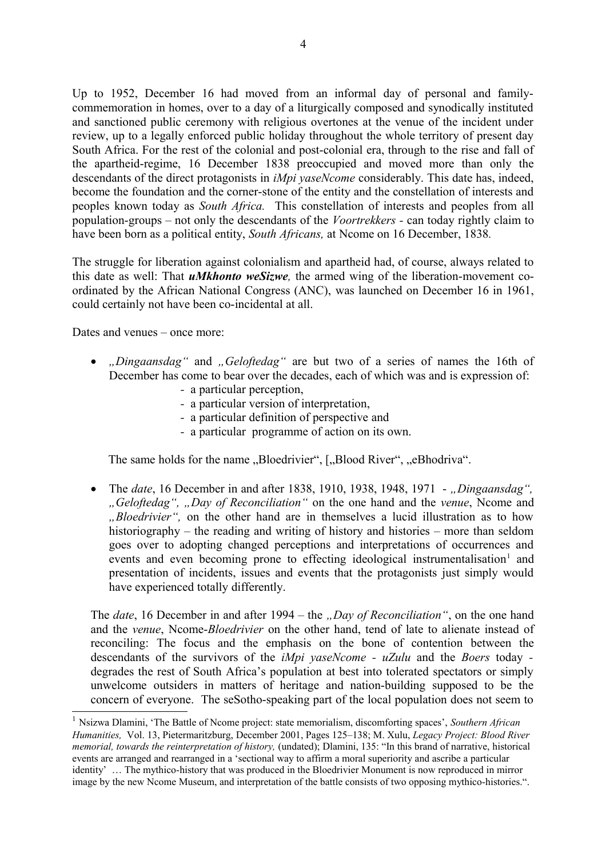Up to 1952, December 16 had moved from an informal day of personal and familycommemoration in homes, over to a day of a liturgically composed and synodically instituted and sanctioned public ceremony with religious overtones at the venue of the incident under review, up to a legally enforced public holiday throughout the whole territory of present day South Africa. For the rest of the colonial and post-colonial era, through to the rise and fall of the apartheid-regime, 16 December 1838 preoccupied and moved more than only the descendants of the direct protagonists in *iMpi yaseNcome* considerably. This date has, indeed, become the foundation and the corner-stone of the entity and the constellation of interests and peoples known today as *South Africa.* This constellation of interests and peoples from all population-groups – not only the descendants of the *Voortrekkers -* can today rightly claim to have been born as a political entity, *South Africans,* at Ncome on 16 December, 1838*.*

The struggle for liberation against colonialism and apartheid had, of course, always related to this date as well: That *uMkhonto weSizwe,* the armed wing of the liberation-movement coordinated by the African National Congress (ANC), was launched on December 16 in 1961, could certainly not have been co-incidental at all.

Dates and venues – once more:

- *"Dingaansdag*" and *"Geloftedag*" are but two of a series of names the 16th of December has come to bear over the decades, each of which was and is expression of:
	- a particular perception,
	- *-* a particular version of interpretation,
	- *-* a particular definition of perspective and
	- *-* a particular programme of action on its own.

The same holds for the name "Bloedrivier", ["Blood River", "eBhodriva".

• The *date*, 16 December in and after 1838, 1910, 1938, 1948, 1971 - "Dingaansdag", *"Geloftedag", "Day of Reconciliation"* on the one hand and the *venue*, Ncome and *"Bloedrivier",* on the other hand are in themselves a lucid illustration as to how historiography – the reading and writing of history and histories – more than seldom goes over to adopting changed perceptions and interpretations of occurrences and events and even becoming prone to effecting ideological instrumentalisation<sup>[1](#page-3-0)</sup> and presentation of incidents, issues and events that the protagonists just simply would have experienced totally differently.

The *date*, 16 December in and after 1994 – the *"Day of Reconciliation"*, on the one hand and the *venue*, Ncome-*Bloedrivier* on the other hand, tend of late to alienate instead of reconciling: The focus and the emphasis on the bone of contention between the descendants of the survivors of the *iMpi yaseNcome - uZulu* and the *Boers* today degrades the rest of South Africa's population at best into tolerated spectators or simply unwelcome outsiders in matters of heritage and nation-building supposed to be the concern of everyone. The seSotho-speaking part of the local population does not seem to

<span id="page-3-0"></span><sup>1</sup> Nsizwa Dlamini, 'The Battle of Ncome project: state memorialism, discomforting spaces', *Southern African Humanities,* Vol. 13, Pietermaritzburg, December 2001, Pages 125–138; M. Xulu, *Legacy Project: Blood River memorial, towards the reinterpretation of history,* (undated); Dlamini, 135: "In this brand of narrative, historical events are arranged and rearranged in a 'sectional way to affirm a moral superiority and ascribe a particular identity' … The mythico-history that was produced in the Bloedrivier Monument is now reproduced in mirror image by the new Ncome Museum, and interpretation of the battle consists of two opposing mythico-histories.".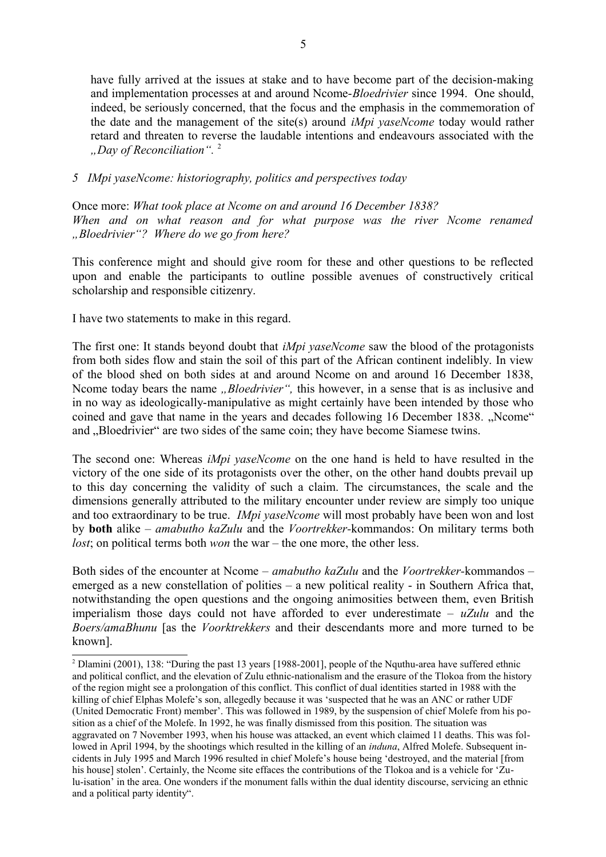have fully arrived at the issues at stake and to have become part of the decision-making and implementation processes at and around Ncome-*Bloedrivier* since 1994. One should, indeed, be seriously concerned, that the focus and the emphasis in the commemoration of the date and the management of the site(s) around *iMpi yaseNcome* today would rather retard and threaten to reverse the laudable intentions and endeavours associated with the *"Day of Reconciliation".* [2](#page-4-0)

# *5 IMpi yaseNcome: historiography, politics and perspectives today*

Once more: *What took place at Ncome on and around 16 December 1838? When and on what reason and for what purpose was the river Ncome renamed "Bloedrivier"? Where do we go from here?*

This conference might and should give room for these and other questions to be reflected upon and enable the participants to outline possible avenues of constructively critical scholarship and responsible citizenry.

I have two statements to make in this regard.

The first one: It stands beyond doubt that *iMpi yaseNcome* saw the blood of the protagonists from both sides flow and stain the soil of this part of the African continent indelibly. In view of the blood shed on both sides at and around Ncome on and around 16 December 1838, Ncome today bears the name *"Bloedrivier"*, this however, in a sense that is as inclusive and in no way as ideologically-manipulative as might certainly have been intended by those who coined and gave that name in the years and decades following 16 December 1838. "Ncome" and "Bloedrivier" are two sides of the same coin; they have become Siamese twins.

The second one: Whereas *iMpi yaseNcome* on the one hand is held to have resulted in the victory of the one side of its protagonists over the other, on the other hand doubts prevail up to this day concerning the validity of such a claim. The circumstances, the scale and the dimensions generally attributed to the military encounter under review are simply too unique and too extraordinary to be true. *IMpi yaseNcome* will most probably have been won and lost by **both** alike – *amabutho kaZulu* and the *Voortrekker-*kommandos: On military terms both *lost*; on political terms both *won* the war – the one more, the other less.

Both sides of the encounter at Ncome – *amabutho kaZulu* and the *Voortrekker-*kommandos *–* emerged as a new constellation of polities – a new political reality - in Southern Africa that, notwithstanding the open questions and the ongoing animosities between them, even British imperialism those days could not have afforded to ever underestimate – *uZulu* and the *Boers/amaBhunu* [as the *Voorktrekkers* and their descendants more and more turned to be known].

<span id="page-4-0"></span><sup>&</sup>lt;sup>2</sup> Dlamini (2001), 138: "During the past 13 years [1988-2001], people of the Nquthu-area have suffered ethnic and political conflict, and the elevation of Zulu ethnic-nationalism and the erasure of the Tlokoa from the history of the region might see a prolongation of this conflict. This conflict of dual identities started in 1988 with the killing of chief Elphas Molefe's son, allegedly because it was 'suspected that he was an ANC or rather UDF (United Democratic Front) member'. This was followed in 1989, by the suspension of chief Molefe from his position as a chief of the Molefe. In 1992, he was finally dismissed from this position. The situation was aggravated on 7 November 1993, when his house was attacked, an event which claimed 11 deaths. This was followed in April 1994, by the shootings which resulted in the killing of an *induna*, Alfred Molefe. Subsequent incidents in July 1995 and March 1996 resulted in chief Molefe's house being 'destroyed, and the material [from his house] stolen'. Certainly, the Ncome site effaces the contributions of the Tlokoa and is a vehicle for 'Zulu-isation' in the area. One wonders if the monument falls within the dual identity discourse, servicing an ethnic and a political party identity".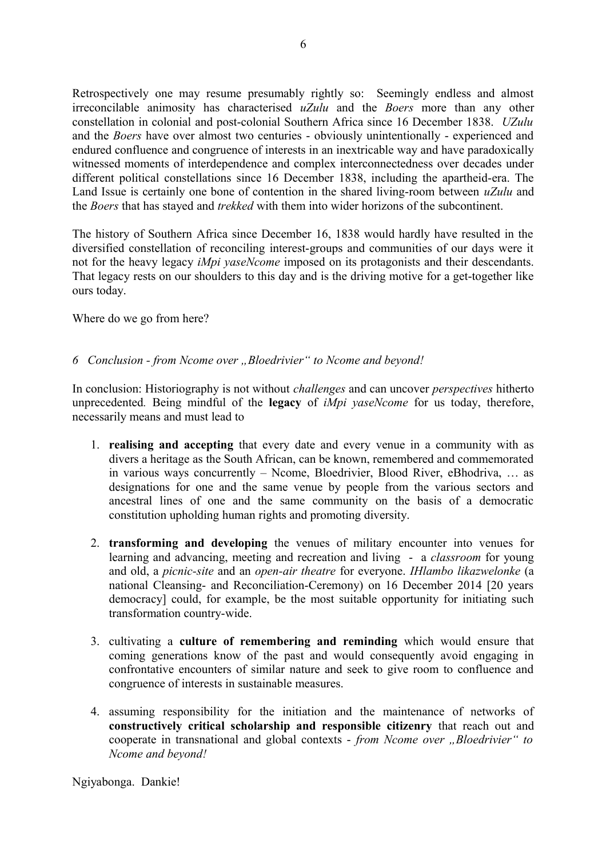Retrospectively one may resume presumably rightly so: Seemingly endless and almost irreconcilable animosity has characterised *uZulu* and the *Boers* more than any other constellation in colonial and post-colonial Southern Africa since 16 December 1838. *UZulu* and the *Boers* have over almost two centuries - obviously unintentionally - experienced and endured confluence and congruence of interests in an inextricable way and have paradoxically witnessed moments of interdependence and complex interconnectedness over decades under different political constellations since 16 December 1838, including the apartheid-era. The Land Issue is certainly one bone of contention in the shared living-room between *uZulu* and the *Boers* that has stayed and *trekked* with them into wider horizons of the subcontinent.

6

The history of Southern Africa since December 16, 1838 would hardly have resulted in the diversified constellation of reconciling interest-groups and communities of our days were it not for the heavy legacy *iMpi yaseNcome* imposed on its protagonists and their descendants. That legacy rests on our shoulders to this day and is the driving motive for a get-together like ours today.

Where do we go from here?

# *6 Conclusion - from Ncome over "Bloedrivier" to Ncome and beyond!*

In conclusion: Historiography is not without *challenges* and can uncover *perspectives* hitherto unprecedented*.* Being mindful of the **legacy** of *iMpi yaseNcome* for us today, therefore, necessarily means and must lead to

- 1. **realising and accepting** that every date and every venue in a community with as divers a heritage as the South African, can be known, remembered and commemorated in various ways concurrently – Ncome, Bloedrivier, Blood River, eBhodriva, … as designations for one and the same venue by people from the various sectors and ancestral lines of one and the same community on the basis of a democratic constitution upholding human rights and promoting diversity.
- 2. **transforming and developing** the venues of military encounter into venues for learning and advancing, meeting and recreation and living - a *classroom* for young and old, a *picnic-site* and an *open-air theatre* for everyone. *IHlambo likazwelonke* (a national Cleansing- and Reconciliation-Ceremony) on 16 December 2014 [20 years democracy] could, for example, be the most suitable opportunity for initiating such transformation country-wide.
- 3. cultivating a **culture of remembering and reminding** which would ensure that coming generations know of the past and would consequently avoid engaging in confrontative encounters of similar nature and seek to give room to confluence and congruence of interests in sustainable measures.
- 4. assuming responsibility for the initiation and the maintenance of networks of **constructively critical scholarship and responsible citizenry** that reach out and cooperate in transnational and global contexts - *from Ncome over* "*Bloedrivier" to Ncome and beyond!*

Ngiyabonga. Dankie!